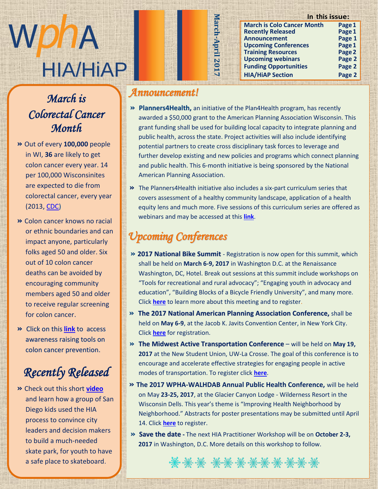

## March is **March is Colorectal Cancer** *Month*

- $Out of your 100.000$ **»** Out of every **100,000** people in WI, 36 are likely to get colon cancer every year. 14 per 100,000 Wisconsinites  $f(x) = \frac{1}{2} \cos(\theta) + \cos(\theta) \sin(\theta)$ are expected to die from colorectal cancer, every year (2013, <u>CDC)</u> u p d a t e s o n t h e H I A
- **»** Colon cancer knows no racial or ethnic boundaries and can import anyone particular  $\frac{1}{2}$  impact anyone, particularly folks aged 50 and older. Six out of 10 colon cancer deaths can be avoided by n e w s l e t t e r s e s e s de r s o n s de r s e s e s de r s e s e s o n s de r s e s e s e s e s e s e s encouraging community members aged 50 and older to receive regular screening  $\frac{1}{2}$  for colon cancer for colon cancer.
- **»** Click on this **link** to access  $\frac{\sqrt{1}}{2}$  expresses raising tools on awareness raising tools on colon cancer prevention.

#### Docenthe Delageau  $Recently$  Released

 $Chock$  out this short  $vidoo$ **»** Check out this short **video** and learn how a group of San Diego kids used the HIA process to convince city process to convince city leaders and decision makers to build a much-needed skate park, for youth to have a safe place to skateboard.

### *Announcement!*

**» Planners4Health,** an initiative of the Plan4Health program, has recently awarded a \$50,000 grant to the American Planning Association Wisconsin. This grant funding shall be used for building local capacity to integrate planning and public health, across the state. Project activities will also include identifying potential partners to create cross disciplinary task forces to leverage and further develop existing and new policies and programs which connect planning and public health. This 6-month initiative is being sponsored by the National American Planning Association.

**In this issue:**

**March is Colo Cancer Month Page1 Recently Released Page 1**<br> **Page 1 Announcement Page 1 Upcoming Conferences Page 1<br>
Training Resources** Page 2

**Upcoming webinars Page 2 Funding Opportunities Page 2 HIA/HiAP Section Page 2**

**Training Resources** 

**March-April 2017**

March-April 2017

**»** The Planners4Health initiative also includes a six-part curriculum series that covers assessment of a healthy community landscape, application of a health equity lens and much more. Five sessions of this curriculum series are offered as webinars and may be accessed at this **[link](https://planning.org/nationalcenters/health/planners4health/)**.

# *Upcoming Conferences*

**EXHEMI** 

- **» 2017 National Bike Summit** Registration is now open for this summit, which shall be held on **March 6-9, 2017** in Washington D.C. at the Renaissance Washington, DC, Hotel. Break out sessions at this summit include workshops on "Tools for recreational and rural advocacy"; "Engaging youth in advocacy and education", "Building Blocks of a Bicycle Friendly University", and many more. Click **[here](http://bikeleague.org/summit)** to learn more about this meeting and to register.
- **» The 2017 National American Planning Association Conference,** shall be held on **May 6-9**, at the Jacob K. Javits Convention Center, in New York City. Click **[here](https://www.planning.org/conference/)** for registration.
- **» The Midwest Active Transportation Conference** will be held on **May 19, 2017** at the New Student Union, UW-La Crosse. The goal of this conference is to encourage and accelerate effective strategies for engaging people in active modes of transportation. To register click **[here](https://www.uwlax.edu/conted/active-transport/)**.
- **» The 2017 WPHA-WALHDAB Annual Public Health Conference,** will be held on May **23-25, 2017**, at the Glacier Canyon Lodge - Wilderness Resort in the Wisconsin Dells. This year's theme is "Improving Health Neighborhood by Neighborhood." Abstracts for poster presentations may be submitted until April 14. Click **[here](http://www.wpha.org/mpage/2017Conference)** to register.
- **» Save the date -** The next HIA Practitioner Workshop will be on **October 2-3, 2017** in Washington, D.C. More details on this workshop to follow.

\*\*\*\*\*\*\*\*\*\*\*